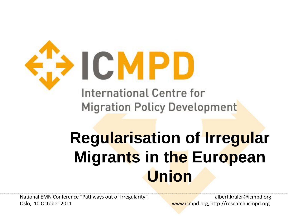

# **Regularisation of Irregular Migrants in the European Union**

National EMN Conference "Pathways out of Irregularity", and albert.kraler@icmpd.org Oslo, 10 October 2011 www.icmpd.org, http://research.icmpd.org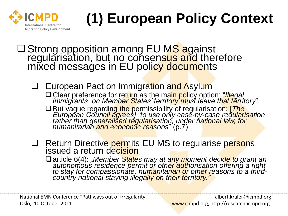

# **(1) European Policy Context**

**□ Strong opposition among EU MS against** regularisation, but no consensus and therefore mixed messages in EU policy documents

**European Pact on Immigration and Asylum** □ Clear preference for return as the main policy option: *"Illegal immigrants on Member States' territory must leave that territory*" □ But vague regarding the permissibility of regularisation: [*The*] *European Council agrees] "to use only case-by-case regularisation* 

*rather than generalised regularisation, under national law, for humanitarian and economic reasons*" (p.7)

□ Return Directive permits EU MS to regularise persons issued a return decision

□ article 6(4): "Member States may at any moment decide to grant an *autonomous residence permit or other authorisation offering a right to stay for compassionate, humanitarian or other reasons to a thirdcountry national staying illegally on their territory."*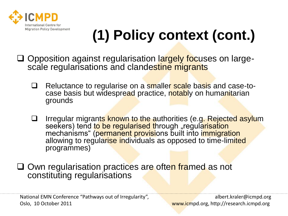

# **(1) Policy context (cont.)**

- □ Opposition against regularisation largely focuses on largescale regularisations and clandestine migrants
	- Reluctance to regularise on a smaller scale basis and case-tocase basis but widespread practice, notably on humanitarian grounds
	- □ Irregular migrants known to the authorities (e.g. Rejected asylum seekers) tend to be regularised through "regularisation mechanisms" (permanent provisions built into immigration allowing to regularise individuals as opposed to time-limited programmes)

**□ Own regularisation practices are often framed as not** constituting regularisations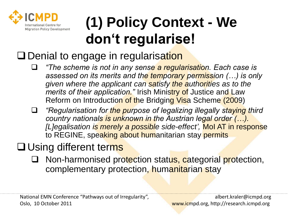

## **(1) Policy Context - We don't regularise!**

### Denial to engage in regularisation

- *"The scheme is not in any sense a regularisation. Each case is assessed on its merits and the temporary permission (…) is only given where the applicant can satisfy the authorities as to the merits of their application."* Irish Ministry of Justice and Law Reform on Introduction of the Bridging Visa Scheme (2009)
- *"Regularisation for the purpose of legalizing illegally staying third country nationals is unknown in the Austrian legal order (…). [L]egalisation is merely a possible side-effect',* MoI AT in response to REGINE, speaking about humanitarian stay permits

### **Q** Using different terms

Non-harmonised protection status, categorial protection, complementary protection, humanitarian stay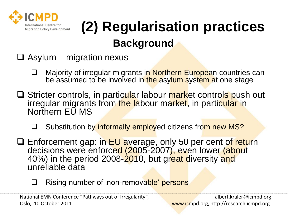

## **(2) Regularisation practices Background**

- $\Box$  Asylum migration nexus
	- □ Majority of irregular migrants in Northern European countries can be assumed to be involved in the asylum system at one stage
- □ Stricter controls, in particular labour market controls push out irregular migrants from the labour market, in particular in Northern EU MS
	- Substitution by informally employed citizens from new MS?
- □ Enforcement gap: in EU average, only 50 per cent of return decisions were enforced (2005-2007), even lower (about 40%) in the period 2008-2010, but great diversity and unreliable data
	- □ Rising number of ,non-removable' persons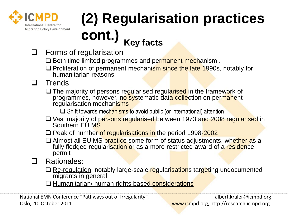

# **(2) Regularisation practices cont.) Key facts**

- $\Box$  Forms of regularisation
	- $\square$  Both time limited programmes and permanent mechanism.
	- $\Box$  Proliferation of permanent mechanism since the late 1990s, notably for humanitarian reasons
- $\Box$  Trends
	- The majority of persons regularised regularised in the framework of programmes, however, no systematic data collection on permanent regularisation mechanisms
		- $\Box$  Shift towards mechanisms to avoid public (or international) attention
	- □ Vast majority of persons regularised between 1973 and 2008 regularised in Southern EU MS
	- □ Peak of number of regularisations in the period 1998-2002
	- $\Box$  Almost all EU MS practice some form of status adjustments, whether as a fully fledged regularisation or as a more restricted award of a residence permit
- Rationales:
	- □ Re-regulation, notably large-scale regularisations targeting undocumented migrants in general
	- □ Humanitarian/ human rights based considerations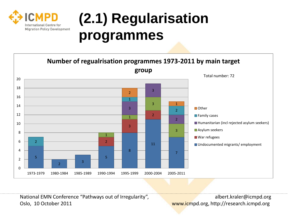

## **(2.1) Regularisation programmes**



National EMN Conference "Pathways out of Irregularity", and albert.kraler@icmpd.org Oslo, 10 October 2011 www.icmpd.org, http://research.icmpd.org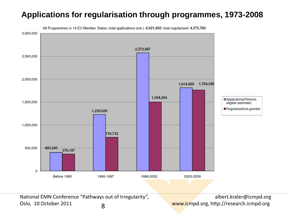#### **Applications for regularisation through programmes, 1973-2008**



68 Programmes in 19 EU Member States; total applications (est.): 6,021,850; total regularised: 4,373,789

National EMN Conference "Pathways out of Irregularity", albert.kraler@icmpd.org Oslo, 10 October 2011 8 and 8 and 8 and 8 and 7 and 7 www.icmpd.org, http://research.icmpd.org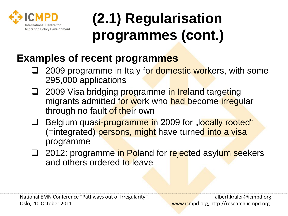

## **(2.1) Regularisation programmes (cont.)**

### **Examples of recent programmes**

- 2009 programme in Italy for domestic workers, with some 295,000 applications
- □ 2009 Visa bridging programme in Ireland targeting migrants admitted for work who had become irregular through no fault of their own
- Belgium quasi-programme in 2009 for "locally rooted" (=integrated) persons, might have turned into a visa programme
- □ 2012: programme in Poland for rejected asylum seekers and others ordered to leave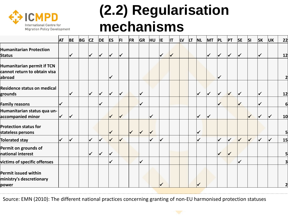

## **(2.2) Regularisation mechanisms**

|                                                                      | <b>AT</b>                | <b>BE</b>    | BG | cz                      | DE                      | <b>ES</b>    | FI                   | FR | GR                      | <b>HU</b>    | IE.                  | <b>IT</b>            | <sub>LV</sub> | <b>LT</b> | <b>NL</b>            | MT                   | PL                      | PT           | <b>SE</b>            | $\vert$ SI           | SK                   | UK                | 22                      |
|----------------------------------------------------------------------|--------------------------|--------------|----|-------------------------|-------------------------|--------------|----------------------|----|-------------------------|--------------|----------------------|----------------------|---------------|-----------|----------------------|----------------------|-------------------------|--------------|----------------------|----------------------|----------------------|-------------------|-------------------------|
| <b>Humanitarian Protection</b><br><b>Status</b>                      |                          | $\checkmark$ |    | √                       | $\overline{\mathbf{v}}$ | $\checkmark$ | $\blacktriangledown$ |    |                         |              | ⋁                    | $\blacktriangledown$ |               |           |                      | $\checkmark$         | $\overline{\mathsf{V}}$ | V            | V                    |                      |                      |                   | 12                      |
| Humanitarian permit if TCN<br>cannot return to obtain visa<br>abroad |                          |              |    |                         |                         | $\checkmark$ |                      |    |                         |              |                      |                      |               |           |                      |                      |                         |              |                      |                      |                      |                   | $\overline{\mathbf{c}}$ |
| Residence status on medical<br>grounds                               |                          | ✓            |    |                         |                         | ✓            | ✓                    |    | $\overline{\mathbf{v}}$ |              |                      |                      |               |           | $\checkmark$         | $\blacktriangledown$ | $\blacktriangledown$    |              |                      |                      |                      |                   | 12                      |
| <b>Family reasons</b>                                                | $\blacktriangledown$     |              |    |                         |                         |              |                      |    | $\blacktriangledown$    |              |                      |                      |               |           |                      |                      |                         |              | $\checkmark$         |                      |                      |                   | 6                       |
| Humanitarian status qua un-<br>accompanied minor                     | $\blacktriangledown$     | $\checkmark$ |    |                         |                         | ✓            | $\checkmark$         |    |                         | $\checkmark$ |                      |                      |               |           | $\blacktriangledown$ | $\checkmark$         |                         |              |                      | ✓                    | $\blacktriangledown$ | $\bm{\checkmark}$ | 10                      |
| <b>Protection status for</b><br>stateless persons                    |                          |              |    |                         |                         | ✓            |                      |    | $\blacktriangledown$    | $\checkmark$ |                      |                      |               |           | $\checkmark$         |                      |                         |              |                      |                      |                      |                   | 5                       |
| <b>Tolerated stay</b>                                                | $\overline{\mathscr{L}}$ | $\checkmark$ |    | $\overline{\mathsf{v}}$ | $\checkmark$            | $\checkmark$ | $\checkmark$         |    |                         | ✓            | $\blacktriangledown$ |                      |               |           | $\checkmark$         |                      | $\blacktriangledown$    | $\checkmark$ | $\blacktriangledown$ | $\blacktriangledown$ | $\blacktriangledown$ | $\checkmark$      | 15                      |
| Permit on grounds of<br>national interest                            |                          |              |    |                         | $\overline{\mathbf{v}}$ | ✓            |                      |    |                         |              |                      |                      |               |           |                      |                      |                         |              |                      |                      |                      |                   | 5                       |
| victims of specific offenses                                         |                          |              |    |                         |                         | ✓            |                      |    | $\checkmark$            |              |                      |                      |               |           |                      |                      |                         |              | ✓                    |                      |                      |                   | 3                       |
| Permit issued within<br>ministry's descretionary<br>power            |                          |              |    |                         |                         |              |                      |    |                         |              |                      |                      |               |           |                      |                      |                         |              |                      |                      |                      |                   | $\overline{\mathbf{2}}$ |

 $FMM (2010)$  The different national practices concerning granting of non-FLI harmonised protection statuses Oslo, 10 October 2011 www.icmpd.org, http://research.icmpd.org Source: EMN (2010): The different national practices concerning granting of non-EU harmonised protection statuses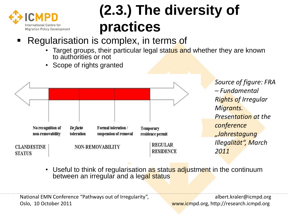

## **(2.3.) The diversity of practices**

- Regularisation is complex, in terms of
	- Target groups, their particular legal status and whether they are known to authorities or not
	- Scope of rights granted



*Source of figure: FRA – Fundamental Rights of Irregular Migrants. Presentation at the conference "Jahrestagung Illegalität", March 2011*

• Useful to think of regularisation as status adjustment in the continuum between an irregular and a legal status

National EMN Conference "Pathways out of Irregularity", and albert.kraler@icmpd.org Oslo, 10 October 2011 www.icmpd.org, http://research.icmpd.org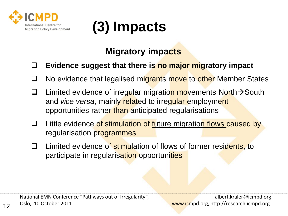



#### **Migratory impacts**

#### **Evidence suggest that there is no major migratory impact**

- □ No evidence that legalised migrants move to other Member States
- **Limited evidence of irregular migration movements North > South** and *vice versa*, mainly related to irregular employment opportunities rather than anticipated regularisations
- **Q** Little evidence of stimulation of future migration flows caused by regularisation programmes
- □ Limited evidence of stimulation of flows of former residents, to participate in regularisation opportunities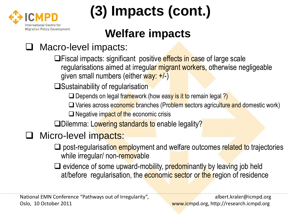

# **(3) Impacts (cont.)**

## **Welfare impacts**

### Macro-level impacts:

**□Fiscal impacts: significant positive effects in case of large scale** regularisations aimed at irregular migrant workers, otherwise negligeable given small numbers (either way: +/-)

 $\square$ Sustainability of regularisation

 $\square$  Depends on legal framework (how easy is it to remain legal ?)

 $\Box$  Varies across economic branches (Problem sectors agriculture and domestic work)

 $\Box$  Negative impact of the economic crisis

Dilemma: Lowering standards to enable legality?

### Micro-level impacts:

 $\Box$  post-regularisation employment and welfare outcomes related to trajectories while irregular/ non-removable

 $\Box$  evidence of some upward-mobility, predominantly by leaving job held at/before regularisation, the economic sector or the region of residence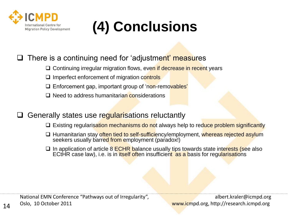

## **(4) Conclusions**

#### There is a continuing need for 'adjustment' measures

- $\Box$  Continuing irregular migration flows, even if decrease in recent years
- $\square$  Imperfect enforcement of migration controls
- □ Enforcement gap, important group of 'non-removables'
- $\Box$  Need to address humanitarian considerations
- Generally states use regularisations reluctantly
	- $\Box$  Existing regularisation mechanisms do not always help to reduce problem significantly
	- □ Humanitarian stay often tied to self-sufficiency/employment, whereas rejected asylum seekers usually barred from employment (paradox!)
	- $\Box$  In application of article 8 ECHR balance usually tips towards state interests (see also ECtHR case law), i.e. is in itself often insufficient as a basis for regularisations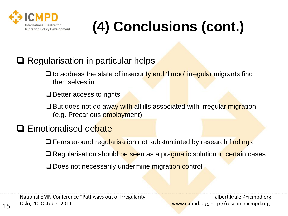

# **(4) Conclusions (cont.)**

#### $\Box$  Regularisation in particular helps

- $\Box$  to address the state of insecurity and 'limbo' irregular migrants find themselves in
- $\Box$  Better access to rights
- $\Box$  But does not do away with all ills associated with irregular migration (e.g. Precarious employment)

#### □ Emotionalised debate

- $\Box$  Fears around regularisation not substantiated by research findings
- $\Box$  Regularisation should be seen as a pragmatic solution in certain cases
- Does not necessarily undermine migration control